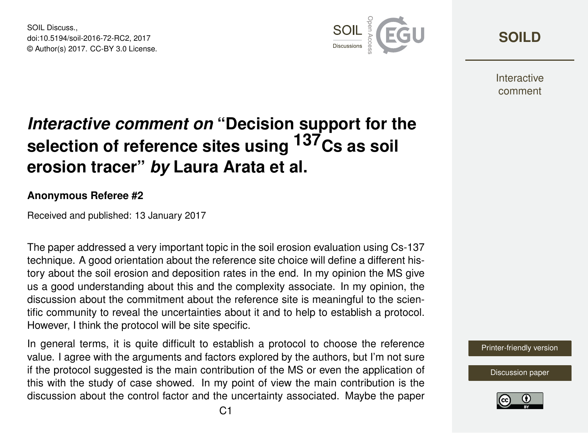SOIL Discuss. doi:10.5194/soil-2016-72-RC2, 2017 © Author(s) 2017. CC-BY 3.0 License.



**[SOILD](http://www.soil-discuss.net/)**

**Interactive** comment

## *Interactive comment on* **"Decision support for the selection of reference sites using 137Cs as soil erosion tracer"** *by* **Laura Arata et al.**

## **Anonymous Referee #2**

Received and published: 13 January 2017

The paper addressed a very important topic in the soil erosion evaluation using Cs-137 technique. A good orientation about the reference site choice will define a different history about the soil erosion and deposition rates in the end. In my opinion the MS give us a good understanding about this and the complexity associate. In my opinion, the discussion about the commitment about the reference site is meaningful to the scientific community to reveal the uncertainties about it and to help to establish a protocol. However, I think the protocol will be site specific.

In general terms, it is quite difficult to establish a protocol to choose the reference value. I agree with the arguments and factors explored by the authors, but I'm not sure if the protocol suggested is the main contribution of the MS or even the application of this with the study of case showed. In my point of view the main contribution is the discussion about the control factor and the uncertainty associated. Maybe the paper

[Printer-friendly version](http://www.soil-discuss.net/soil-2016-72/soil-2016-72-RC2-print.pdf)

[Discussion paper](http://www.soil-discuss.net/soil-2016-72)